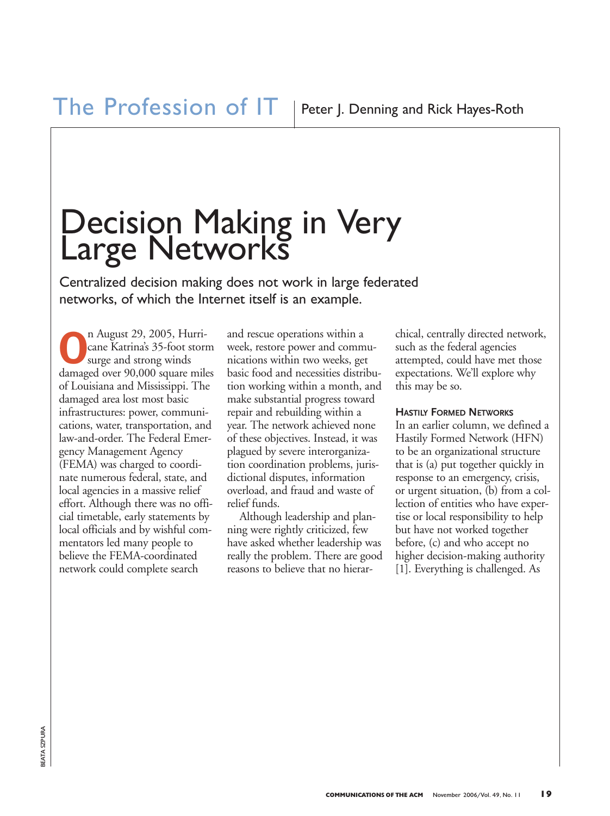# Decision Making in Very Large Networks

Centralized decision making does not work in large federated networks, of which the Internet itself is an example.

**O**n August 29, 2005, Hurricane Katrina's 35-foot storm surge and strong winds damaged over 90,000 square miles of Louisiana and Mississippi. The damaged area lost most basic infrastructures: power, communications, water, transportation, and law-and-order. The Federal Emergency Management Agency (FEMA) was charged to coordinate numerous federal, state, and local agencies in a massive relief effort. Although there was no official timetable, early statements by local officials and by wishful commentators led many people to believe the FEMA-coordinated network could complete search

and rescue operations within a week, restore power and communications within two weeks, get basic food and necessities distribution working within a month, and make substantial progress toward repair and rebuilding within a year. The network achieved none of these objectives. Instead, it was plagued by severe interorganization coordination problems, jurisdictional disputes, information overload, and fraud and waste of relief funds.

Although leadership and planning were rightly criticized, few have asked whether leadership was really the problem. There are good reasons to believe that no hierarchical, centrally directed network, such as the federal agencies attempted, could have met those expectations. We'll explore why this may be so.

### **HASTILY FORMED NETWORKS**

In an earlier column, we defined a Hastily Formed Network (HFN) to be an organizational structure that is (a) put together quickly in response to an emergency, crisis, or urgent situation, (b) from a collection of entities who have expertise or local responsibility to help but have not worked together before, (c) and who accept no higher decision-making authority [1]. Everything is challenged. As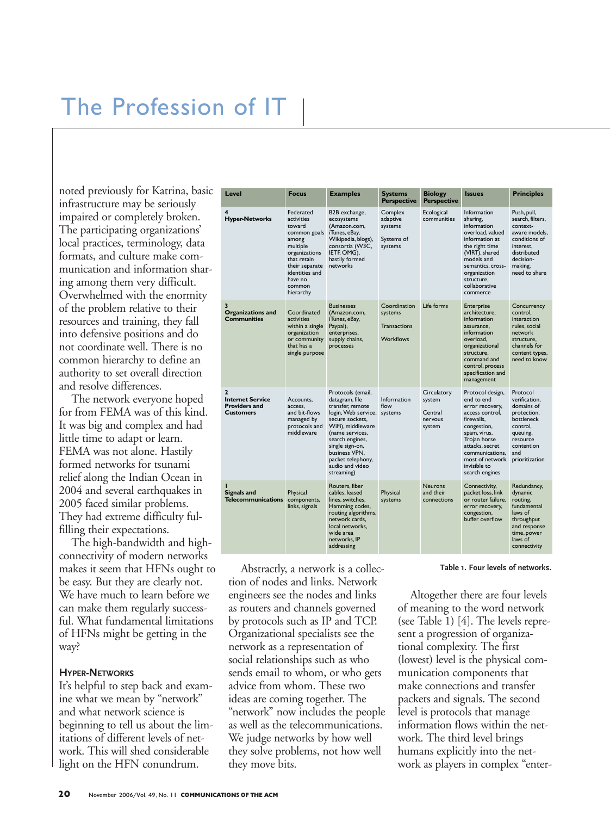## The Profession of IT

noted previously for Katrina, basic infrastructure may be seriously impaired or completely broken. The participating organizations' local practices, terminology, data formats, and culture make communication and information sharing among them very difficult. Overwhelmed with the enormity of the problem relative to their resources and training, they fall into defensive positions and do not coordinate well. There is no common hierarchy to define an authority to set overall direction and resolve differences.

The network everyone hoped for from FEMA was of this kind. It was big and complex and had little time to adapt or learn. FEMA was not alone. Hastily formed networks for tsunami relief along the Indian Ocean in 2004 and several earthquakes in 2005 faced similar problems. They had extreme difficulty fulfilling their expectations.

The high-bandwidth and highconnectivity of modern networks makes it seem that HFNs ought to be easy. But they are clearly not. We have much to learn before we can make them regularly successful. What fundamental limitations of HFNs might be getting in the way?

#### **HYPER-NETWORKS**

It's helpful to step back and examine what we mean by "network" and what network science is beginning to tell us about the limitations of different levels of network. This will shed considerable light on the HFN conundrum.

| Level                                                                                 | <b>Focus</b>                                                                                                                                                                 | <b>Examples</b>                                                                                                                                                                                                                                        | <b>Systems</b><br><b>Perspective</b>                               | <b>Biology</b><br><b>Perspective</b>                  | <b>Issues</b>                                                                                                                                                                                                                | <b>Principles</b>                                                                                                                                  |
|---------------------------------------------------------------------------------------|------------------------------------------------------------------------------------------------------------------------------------------------------------------------------|--------------------------------------------------------------------------------------------------------------------------------------------------------------------------------------------------------------------------------------------------------|--------------------------------------------------------------------|-------------------------------------------------------|------------------------------------------------------------------------------------------------------------------------------------------------------------------------------------------------------------------------------|----------------------------------------------------------------------------------------------------------------------------------------------------|
| 4<br><b>Hyper-Networks</b>                                                            | Federated<br>activities<br>toward<br>common goals<br>among<br>multiple<br>organizations<br>that retain<br>their separate<br>identities and<br>have no<br>common<br>hierarchy | B2B exchange,<br>ecosystems<br>(Amazon.com,<br>iTunes, eBay,<br>Wikipedia, blogs),<br>consortia (W3C,<br>IETF, OMG),<br>hastily formed<br>networks                                                                                                     | Complex<br>adaptive<br>systems<br>Systems of<br>systems            | Ecological<br>communities                             | Information<br>sharing,<br>information<br>overload, valued<br>information at<br>the right time<br>(VIRT), shared<br>models and<br>semantics, cross-<br>organization<br>structure,<br>collaborative<br>commerce               | Push, pull,<br>search, filters,<br>context-<br>aware models.<br>conditions of<br>interest.<br>distributed<br>decision-<br>making,<br>need to share |
| 3<br><b>Organizations and</b><br><b>Communities</b>                                   | Coordinated<br>activities<br>within a single<br>organization<br>or community<br>that has a<br>single purpose                                                                 | <b>Businesses</b><br>(Amazon.com,<br>iTunes, eBay,<br>Paypal),<br>enterprises,<br>supply chains,<br>processes                                                                                                                                          | Coordination<br>systems<br><b>Transactions</b><br><b>Workflows</b> | Life forms                                            | Enterprise<br>architecture.<br>information<br>assurance.<br>information<br>overload.<br>organizational<br>structure.<br>command and<br>control, process<br>specification and<br>management                                   | Concurrency<br>control.<br>interaction<br>rules, social<br>network<br>structure.<br>channels for<br>content types,<br>need to know                 |
| $\overline{2}$<br><b>Internet Service</b><br><b>Providers and</b><br><b>Customers</b> | Accounts.<br>access.<br>and bit-flows<br>managed by<br>protocols and<br>middleware                                                                                           | Protocols (email,<br>datagram, file<br>transfer, remote<br>login, Web service,<br>secure sockets.<br>WiFi), middleware<br>(name services,<br>search engines,<br>single sign-on,<br>business VPN,<br>packet telephony,<br>audio and video<br>streaming) | Information<br>flow<br>systems                                     | Circulatory<br>system<br>Central<br>nervous<br>system | Protocol design,<br>end to end<br>error recovery,<br>access control.<br>firewalls.<br>congestion,<br>spam, virus,<br>Trojan horse<br>attacks, secret<br>communications.<br>most of network<br>invisible to<br>search engines | Protocol<br>verification.<br>domains of<br>protection.<br>bottleneck<br>control,<br>queuing,<br>resource<br>contention<br>and<br>prioritization    |
| <b>Signals and</b><br><b>Telecommunications</b>                                       | Physical<br>components,<br>links, signals                                                                                                                                    | Routers, fiber<br>cables, leased<br>lines, switches,<br>Hamming codes,<br>routing algorithms,<br>network cards,<br>local networks,<br>wide area<br>networks. IP<br>addressing                                                                          | Physical<br>systems                                                | <b>Neurons</b><br>and their<br>connections            | Connectivity,<br>packet loss, link<br>or router failure.<br>error recovery,<br>congestion,<br>buffer overflow                                                                                                                | Redundancy,<br>dynamic<br>routing.<br>fundamental<br>laws of<br>throughput<br>and response<br>time, power<br>laws of<br>connectivity               |

Abstractly, a network is a collection of nodes and links. Network engineers see the nodes and links as routers and channels governed by protocols such as IP and TCP. Organizational specialists see the network as a representation of social relationships such as who sends email to whom, or who gets advice from whom. These two ideas are coming together. The "network" now includes the people as well as the telecommunications. We judge networks by how well they solve problems, not how well they move bits.

**Table 1. Four levels of networks.**

Altogether there are four levels s governed of meaning to the word network (see Table 1) [4]. The levels represent a progression of organizational complexity. The first (lowest) level is the physical communication components that make connections and transfer packets and signals. The second level is protocols that manage information flows within the network. The third level brings humans explicitly into the network as players in complex "enter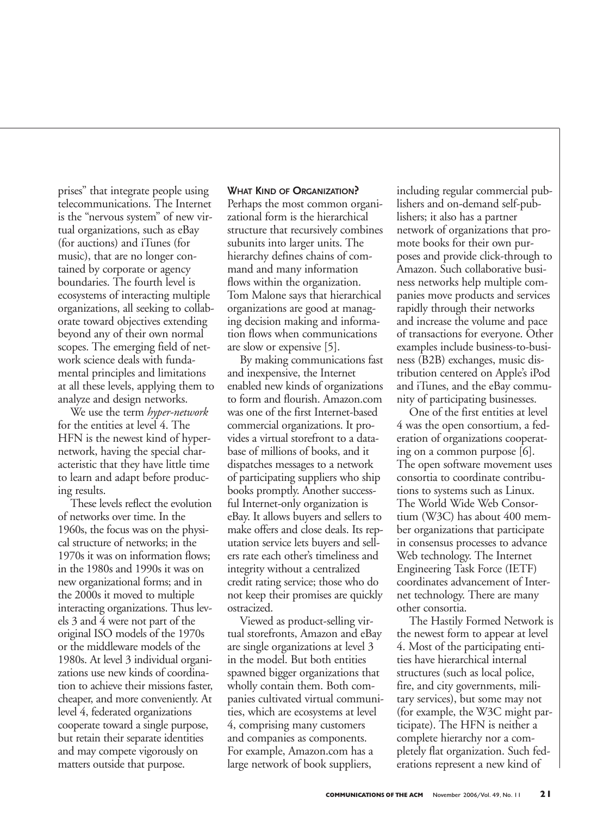prises" that integrate people using telecommunications. The Internet is the "nervous system" of new virtual organizations, such as eBay (for auctions) and iTunes (for music), that are no longer contained by corporate or agency boundaries. The fourth level is ecosystems of interacting multiple organizations, all seeking to collaborate toward objectives extending beyond any of their own normal scopes. The emerging field of network science deals with fundamental principles and limitations at all these levels, applying them to analyze and design networks.

We use the term *hyper-network* for the entities at level 4. The HFN is the newest kind of hypernetwork, having the special characteristic that they have little time to learn and adapt before producing results.

These levels reflect the evolution of networks over time. In the 1960s, the focus was on the physical structure of networks; in the 1970s it was on information flows; in the 1980s and 1990s it was on new organizational forms; and in the 2000s it moved to multiple interacting organizations. Thus levels 3 and 4 were not part of the original ISO models of the 1970s or the middleware models of the 1980s. At level 3 individual organizations use new kinds of coordination to achieve their missions faster, cheaper, and more conveniently. At level 4, federated organizations cooperate toward a single purpose, but retain their separate identities and may compete vigorously on matters outside that purpose.

### **WHAT KIND OF ORGANIZATION?**

Perhaps the most common organizational form is the hierarchical structure that recursively combines subunits into larger units. The hierarchy defines chains of command and many information flows within the organization. Tom Malone says that hierarchical organizations are good at managing decision making and information flows when communications are slow or expensive [5].

By making communications fast and inexpensive, the Internet enabled new kinds of organizations to form and flourish. Amazon.com was one of the first Internet-based commercial organizations. It provides a virtual storefront to a database of millions of books, and it dispatches messages to a network of participating suppliers who ship books promptly. Another successful Internet-only organization is eBay. It allows buyers and sellers to make offers and close deals. Its reputation service lets buyers and sellers rate each other's timeliness and integrity without a centralized credit rating service; those who do not keep their promises are quickly ostracized.

Viewed as product-selling virtual storefronts, Amazon and eBay are single organizations at level 3 in the model. But both entities spawned bigger organizations that wholly contain them. Both companies cultivated virtual communities, which are ecosystems at level 4, comprising many customers and companies as components. For example, Amazon.com has a large network of book suppliers,

including regular commercial publishers and on-demand self-publishers; it also has a partner network of organizations that promote books for their own purposes and provide click-through to Amazon. Such collaborative business networks help multiple companies move products and services rapidly through their networks and increase the volume and pace of transactions for everyone. Other examples include business-to-business (B2B) exchanges, music distribution centered on Apple's iPod and iTunes, and the eBay community of participating businesses.

One of the first entities at level 4 was the open consortium, a federation of organizations cooperating on a common purpose [6]. The open software movement uses consortia to coordinate contributions to systems such as Linux. The World Wide Web Consortium (W3C) has about 400 member organizations that participate in consensus processes to advance Web technology. The Internet Engineering Task Force (IETF) coordinates advancement of Internet technology. There are many other consortia.

The Hastily Formed Network is the newest form to appear at level 4. Most of the participating entities have hierarchical internal structures (such as local police, fire, and city governments, military services), but some may not (for example, the W3C might participate). The HFN is neither a complete hierarchy nor a completely flat organization. Such federations represent a new kind of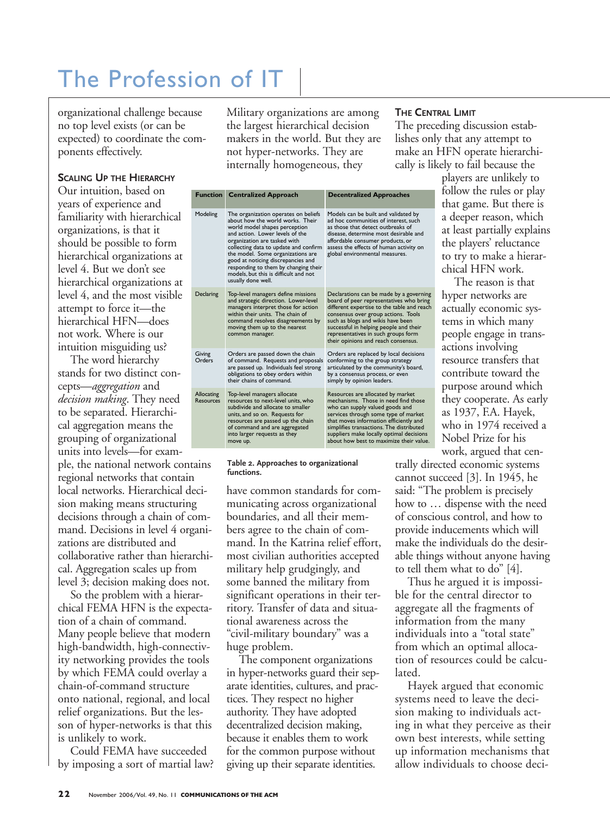## The Profession of IT

organizational challenge because no top level exists (or can be expected) to coordinate the components effectively.

#### **SCALING UP THE HIERARCHY**

Our intuition, based on years of experience and familiarity with hierarchical organizations, is that it should be possible to form hierarchical organizations at level 4. But we don't see hierarchical organizations at level 4, and the most visible attempt to force it—the hierarchical HFN—does not work. Where is our intuition misguiding us?

The word hierarchy stands for two distinct concepts—*aggregation* and *decision making*. They need to be separated. Hierarchical aggregation means the grouping of organizational units into levels—for example, the national network contains regional networks that contain local networks. Hierarchical decision making means structuring decisions through a chain of command. Decisions in level 4 organizations are distributed and collaborative rather than hierarchical. Aggregation scales up from level 3; decision making does not.

So the problem with a hierarchical FEMA HFN is the expectation of a chain of command. Many people believe that modern high-bandwidth, high-connectivity networking provides the tools by which FEMA could overlay a chain-of-command structure onto national, regional, and local relief organizations. But the lesson of hyper-networks is that this is unlikely to work.

Could FEMA have succeeded by imposing a sort of martial law?

Military organizations are among the largest hierarchical decision makers in the world. But they are lishes on not hyper-networks. They are internally homogeneous, they

|  |  | <b>THE CENTRAL LIMIT</b> |  |
|--|--|--------------------------|--|
|--|--|--------------------------|--|

The preceding discussion establishes only that any attempt to make an HFN operate hierarchically is likely to fail because the

|                         | <b>Function</b> Centralized Approach                                                                                                                                                                                                                                                                                                                                                                    | <b>Decentralized Approaches</b>                                                                                                                                                                                                                                                                                                      |
|-------------------------|---------------------------------------------------------------------------------------------------------------------------------------------------------------------------------------------------------------------------------------------------------------------------------------------------------------------------------------------------------------------------------------------------------|--------------------------------------------------------------------------------------------------------------------------------------------------------------------------------------------------------------------------------------------------------------------------------------------------------------------------------------|
| Modeling                | The organization operates on beliefs<br>about how the world works. Their<br>world model shapes perception<br>and action. Lower levels of the<br>organization are tasked with<br>collecting data to update and confirm<br>the model. Some organizations are<br>good at noticing discrepancies and<br>responding to them by changing their<br>models, but this is difficult and not<br>usually done well. | Models can be built and validated by<br>ad hoc communities of interest, such<br>as those that detect outbreaks of<br>disease, determine most desirable and<br>affordable consumer products, or<br>assess the effects of human activity on<br>global environmental measures.                                                          |
| Declaring               | Top-level managers define missions<br>and strategic direction. Lower-level<br>managers interpret those for action<br>within their units. The chain of<br>command resolves disagreements by<br>moving them up to the nearest<br>common manager.                                                                                                                                                          | Declarations can be made by a governing<br>board of peer representatives who bring<br>different expertise to the table and reach<br>consensus over group actions. Tools<br>such as blogs and wikis have been<br>successful in helping people and their<br>representatives in such groups form<br>their opinions and reach consensus. |
| Giving<br>Orders        | Orders are passed down the chain<br>of command. Requests and proposals<br>are passed up. Individuals feel strong<br>obligations to obey orders within<br>their chains of command.                                                                                                                                                                                                                       | Orders are replaced by local decisions<br>conforming to the group strategy<br>articulated by the community's board,<br>by a consensus process, or even<br>simply by opinion leaders.                                                                                                                                                 |
| Allocating<br>Resources | Top-level managers allocate<br>resources to next-level units, who<br>subdivide and allocate to smaller<br>units, and so on. Requests for<br>resources are passed up the chain<br>of command and are aggregated<br>into larger requests as they<br>move up.                                                                                                                                              | Resources are allocated by market<br>mechanisms. Those in need find those<br>who can supply valued goods and<br>services through some type of market<br>that moves information efficiently and<br>simplifies transactions. The distributed<br>suppliers make locally optimal decisions<br>about how best to maximize their value.    |

#### **Table 2. Approaches to organizational functions.**

have common standards for communicating across organizational boundaries, and all their members agree to the chain of command. In the Katrina relief effort, most civilian authorities accepted military help grudgingly, and some banned the military from significant operations in their territory. Transfer of data and situational awareness across the "civil-military boundary" was a huge problem.

The component organizations in hyper-networks guard their separate identities, cultures, and practices. They respect no higher authority. They have adopted decentralized decision making, because it enables them to work for the common purpose without giving up their separate identities.

players are unlikely to follow the rules or play that game. But there is a deeper reason, which at least partially explains the players' reluctance to try to make a hierarchical HFN work.

The reason is that hyper networks are actually economic systems in which many people engage in transactions involving resource transfers that contribute toward the purpose around which they cooperate. As early as 1937, F.A. Hayek, who in 1974 received a Nobel Prize for his work, argued that cen-

trally directed economic systems cannot succeed [3]. In 1945, he said: "The problem is precisely how to … dispense with the need of conscious control, and how to provide inducements which will make the individuals do the desirable things without anyone having to tell them what to do" [4].

Thus he argued it is impossible for the central director to aggregate all the fragments of information from the many individuals into a "total state" from which an optimal allocation of resources could be calculated.

Hayek argued that economic systems need to leave the decision making to individuals acting in what they perceive as their own best interests, while setting up information mechanisms that allow individuals to choose deci